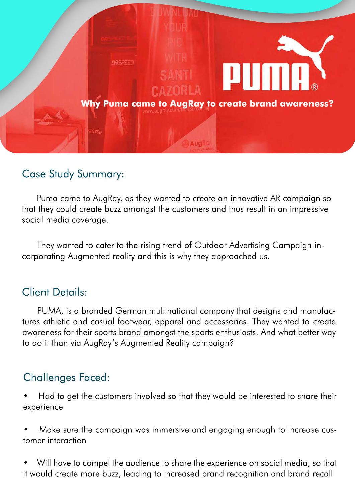

# Case Study Summary:

Puma came to AugRay, as they wanted to create an innovative AR campaign so that they could create buzz amongst the customers and thus result in an impressive social media coverage.

They wanted to cater to the rising trend of Outdoor Advertising Campaign incorporating Augmented reality and this is why they approached us.

## Client Details:

PUMA, is a branded German multinational company that designs and manufactures athletic and casual footwear, apparel and accessories. They wanted to create awareness for their sports brand amongst the sports enthusiasts. And what better way to do it than via AugRay's Augmented Reality campaign?

# Challenges Faced:

• Had to get the customers involved so that they would be interested to share their experience

• Make sure the campaign was immersive and engaging enough to increase customer interaction

• Will have to compel the audience to share the experience on social media, so that it would create more buzz, leading to increased brand recognition and brand recall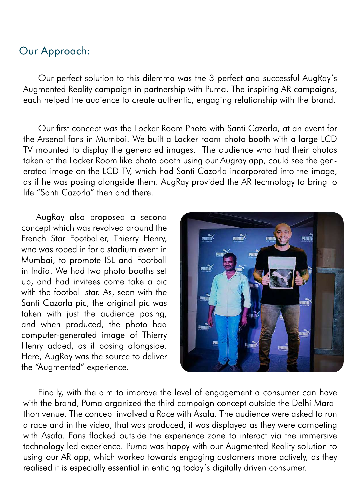## Our Approach:

Our perfect solution to this dilemma was the 3 perfect and successful AugRay's Augmented Reality campaign in partnership with Puma. The inspiring AR campaigns, each helped the audience to create authentic, engaging relationship with the brand.

Our first concept was the Locker Room Photo with Santi Cazorla, at an event for the Arsenal fans in Mumbai. We built a Locker room photo booth with a large LCD TV mounted to display the generated images. The audience who had their photos taken at the Locker Room like photo booth using our Augray app, could see the generated image on the LCD TV, which had Santi Cazorla incorporated into the image, as if he was posing alongside them. AugRay provided the AR technology to bring to life "Santi Cazorla" then and there.

AugRay also proposed a second concept which was revolved around the French Star Footballer, Thierry Henry, who was roped in for a stadium event in Mumbai, to promote ISL and Football in India. We had two photo booths set up, and had invitees come take a pic with the football star. As, seen with the Santi Cazorla pic, the original pic was taken with just the audience posing, and when produced, the photo had computer-generated image of Thierry Henry added, as if posing alongside. Here, AugRay was the source to deliver the "Augmented" experience.



Finally, with the aim to improve the level of engagement a consumer can have with the brand, Puma organized the third campaign concept outside the Delhi Marathon venue. The concept involved a Race with Asafa. The audience were asked to run a race and in the video, that was produced, it was displayed as they were competing with Asafa. Fans flocked outside the experience zone to interact via the immersive technology led experience. Puma was happy with our Augmented Reality solution to using our AR app, which worked towards engaging customers more actively, as they realised it is especially essential in enticing today's digitally driven consumer.